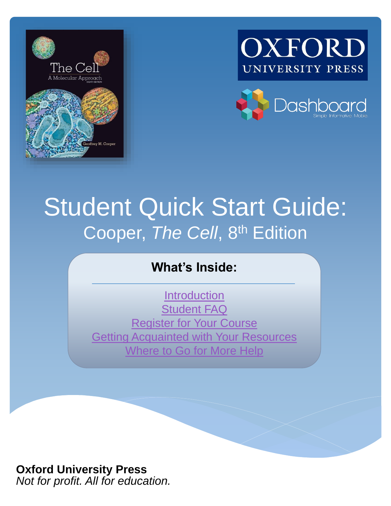





## Student Quick Start Guide: Cooper, *The Cell*, 8<sup>th</sup> Edition

## **What's Inside:**

**[Introduction](#page-1-0)** [Student FAQ](#page-2-0) [Register for Your Course](#page-4-0) **[Getting Acquainted with Your Resources](#page-8-0)** [Where to Go for More Help](#page-9-0)

## **Oxford University Press**

*Not for profit. All for education.*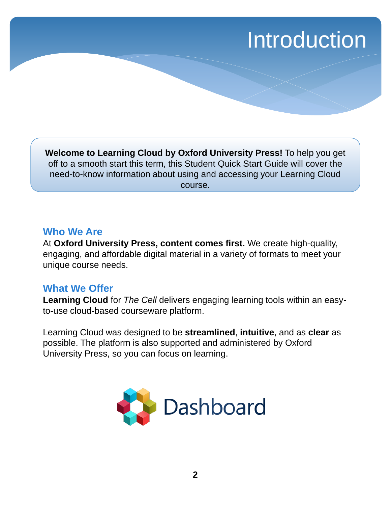## Introduction

<span id="page-1-0"></span>**Welcome to Learning Cloud by Oxford University Press!** To help you get off to a smooth start this term, this Student Quick Start Guide will cover the need-to-know information about using and accessing your Learning Cloud course.

### **Who We Are**

At **Oxford University Press, content comes first.** We create high-quality, engaging, and affordable digital material in a variety of formats to meet your unique course needs.

### **What We Offer**

**Learning Cloud** for *The Cell* delivers engaging learning tools within an easyto-use cloud-based courseware platform.

Learning Cloud was designed to be **streamlined**, **intuitive**, and as **clear** as possible. The platform is also supported and administered by Oxford University Press, so you can focus on learning.

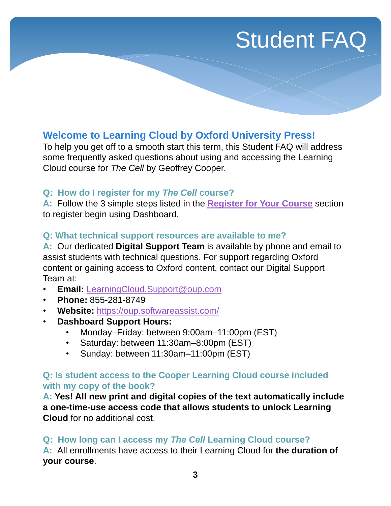# Student FAQ

## <span id="page-2-0"></span>**Welcome to Learning Cloud by Oxford University Press!**

To help you get off to a smooth start this term, this Student FAQ will address some frequently asked questions about using and accessing the Learning Cloud course for *The Cell* by Geoffrey Cooper.

#### **Q: How do I register for my** *The Cell* **course?**

**A:** Follow the 3 simple steps listed in the **[Register for Your Course](#page-4-0)** section to register begin using Dashboard.

#### **Q: What technical support resources are available to me?**

**A:** Our dedicated **Digital Support Team** is available by phone and email to assist students with technical questions. For support regarding Oxford content or gaining access to Oxford content, contact our Digital Support Team at:

- **Email:** [LearningCloud.Support@oup.com](mailto:LearningCloud.Support@oup.com)
- **Phone:** 855-281-8749
- **Website:** <https://oup.softwareassist.com/>
- **Dashboard Support Hours:**
	- Monday–Friday: between 9:00am–11:00pm (EST)
	- Saturday: between 11:30am–8:00pm (EST)
	- Sunday: between 11:30am–11:00pm (EST)

### **Q: Is student access to the Cooper Learning Cloud course included with my copy of the book?**

**A: Yes! All new print and digital copies of the text automatically include a one-time-use access code that allows students to unlock Learning Cloud** for no additional cost.

**Q: How long can I access my** *The Cell* **Learning Cloud course?** 

**A:** All enrollments have access to their Learning Cloud for **the duration of your course**.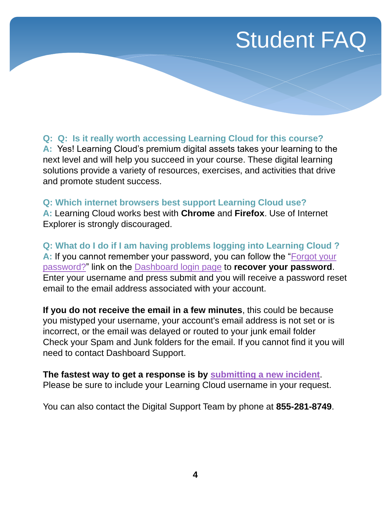# Student FAQ

**Q: Q: Is it really worth accessing Learning Cloud for this course? A:** Yes! Learning Cloud's premium digital assets takes your learning to the next level and will help you succeed in your course. These digital learning solutions provide a variety of resources, exercises, and activities that drive and promote student success.

#### **Q: Which internet browsers best support Learning Cloud use?**

**A:** Learning Cloud works best with **Chrome** and **Firefox**. Use of Internet Explorer is strongly discouraged.

**Q: What do I do if I am having problems logging into Learning Cloud ? A:** [If you cannot remember your password, you can follow the "Forgot your](https://dashboard.oup.com/d2l/lp/forgotPassword/forgotPassword.d2l) password?" link on the [Dashboard login page](https://dashboard.oup.com/d2l/login) to **recover your password**. Enter your username and press submit and you will receive a password reset email to the email address associated with your account.

**If you do not receive the email in a few minutes**, this could be because you mistyped your username, your account's email address is not set or is incorrect, or the email was delayed or routed to your junk email folder Check your Spam and Junk folders for the email. If you cannot find it you will need to contact Dashboard Support.

#### **The fastest way to get a response is by [submitting a new incident](https://oup.softwareassist.com/CreateIncident.aspx)**. Please be sure to include your Learning Cloud username in your request.

You can also contact the Digital Support Team by phone at **855-281-8749**.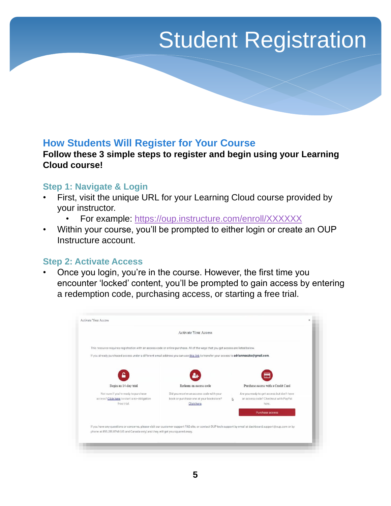## <span id="page-4-0"></span>**How Students Will Register for Your Course**

### **Follow these 3 simple steps to register and begin using your Learning Cloud course!**

### **Step 1: Navigate & Login**

- First, visit the unique URL for your Learning Cloud course provided by your instructor.
	- For example:<https://oup.instructure.com/enroll/XXXXXX>
- Within your course, you'll be prompted to either login or create an OUP Instructure account.

### **Step 2: Activate Access**

• Once you login, you're in the course. However, the first time you encounter 'locked' content, you'll be prompted to gain access by entering a redemption code, purchasing access, or starting a free trial.

|                                                                                                                                                                                                                                              | <b>Activate Your Access</b>              |   |                                            |
|----------------------------------------------------------------------------------------------------------------------------------------------------------------------------------------------------------------------------------------------|------------------------------------------|---|--------------------------------------------|
| This resource requires registration with an access code or online purchase. All of the ways that you get access are listed below.                                                                                                            |                                          |   |                                            |
| If you already purchased access under a different email address you can use this link to transfer your access to adrianmaszko@gmail.com.                                                                                                     |                                          |   |                                            |
|                                                                                                                                                                                                                                              |                                          |   |                                            |
|                                                                                                                                                                                                                                              |                                          |   |                                            |
| Begin an 14-day trial                                                                                                                                                                                                                        | Redeem an access code                    |   | Purchase access with a Credit Card         |
| Not sure if you're ready to purchase                                                                                                                                                                                                         | Did you receive an access code with your |   | Are you ready to get access but don't have |
| access? Click here to start a no-obligation                                                                                                                                                                                                  | book or purchase one at your bookstore?  | И | an access code? Checkout with PayPal       |
| free trial                                                                                                                                                                                                                                   | Click here.                              |   | here.                                      |
|                                                                                                                                                                                                                                              |                                          |   | Purchase access                            |
|                                                                                                                                                                                                                                              |                                          |   |                                            |
| If you have any questions or concerns, please visit our customer support FAQ site, or contact OUP tech support by email at dashboard.support@oup.com or by<br>phone at 855.281.8749 (US and Canada only) and they will get you squared away. |                                          |   |                                            |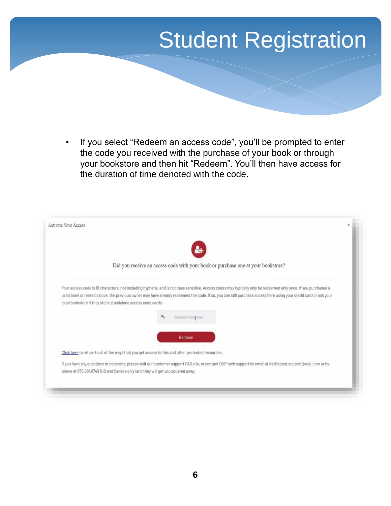• If you select "Redeem an access code", you'll be prompted to enter the code you received with the purchase of your book or through your bookstore and then hit "Redeem". You'll then have access for the duration of time denoted with the code.

| Did you receive an access code with your book or purchase one at your bookstore? |                                                                                                                                                                                                                                                                                                                                   |  |  |  |
|----------------------------------------------------------------------------------|-----------------------------------------------------------------------------------------------------------------------------------------------------------------------------------------------------------------------------------------------------------------------------------------------------------------------------------|--|--|--|
| local bookstore if they stock standalone access code cards.                      | Your access code is 16 characters, not including hyphens, and is not case sensitive. Access codes may typically only be redeemed only once. If you purchased a<br>used book or rented a book, the previous owner may have already redeemed the code. If so, you can still purchase access here using your credit card or ask your |  |  |  |
|                                                                                  | a,<br>XXXXXXXXX-XXXXXXXXXX                                                                                                                                                                                                                                                                                                        |  |  |  |
|                                                                                  | Redeem                                                                                                                                                                                                                                                                                                                            |  |  |  |
|                                                                                  | Click here to return to all of the ways that you get access to this and other protected resources.                                                                                                                                                                                                                                |  |  |  |
|                                                                                  | If you have any questions or concerns, please visit our customer support FAO site, or contact OUP tech support by email at dashboard.support@oup.com or by<br>phone at 855.281.8749 (US and Canada only) and they will get you squared away.                                                                                      |  |  |  |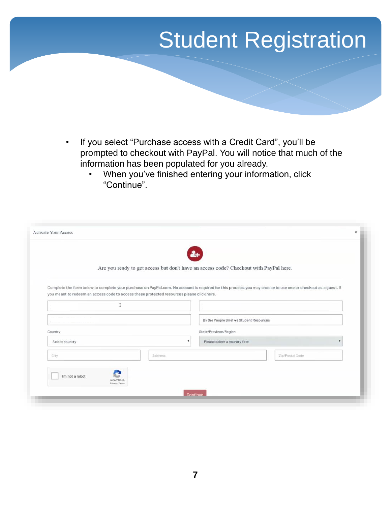- If you select "Purchase access with a Credit Card", you'll be prompted to checkout with PayPal. You will notice that much of the information has been populated for you already.
	- When you've finished entering your information, click "Continue".

|                                                                                                                                                                                                                                                             |         | Are you ready to get access but don't have an access code? Checkout with PayPal here. |                 |
|-------------------------------------------------------------------------------------------------------------------------------------------------------------------------------------------------------------------------------------------------------------|---------|---------------------------------------------------------------------------------------|-----------------|
|                                                                                                                                                                                                                                                             |         |                                                                                       |                 |
| Complete the form below to complete your purchase on PayPal.com. No account is required for this process, you may choose to use one or checkout as a quest. If<br>you meant to redeem an access code to access these protected resources please click here. |         |                                                                                       |                 |
|                                                                                                                                                                                                                                                             |         |                                                                                       |                 |
|                                                                                                                                                                                                                                                             |         | By the People Brief 4e Student Resources                                              |                 |
| Country                                                                                                                                                                                                                                                     |         | State/Province/Region                                                                 |                 |
| Select country                                                                                                                                                                                                                                              | ٠       | Please select a country first                                                         |                 |
| City                                                                                                                                                                                                                                                        | Address |                                                                                       | Zip/Postal Code |
|                                                                                                                                                                                                                                                             |         |                                                                                       |                 |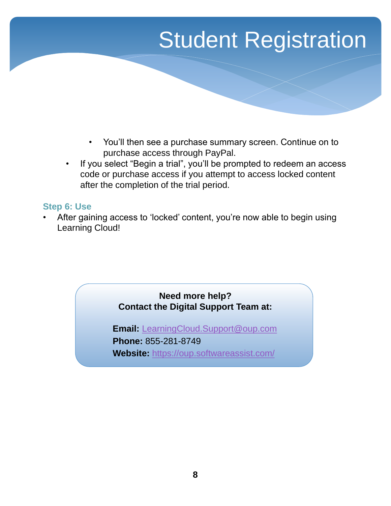- You'll then see a purchase summary screen. Continue on to purchase access through PayPal.
- If you select "Begin a trial", you'll be prompted to redeem an access code or purchase access if you attempt to access locked content after the completion of the trial period.

### **Step 6: Use**

After gaining access to 'locked' content, you're now able to begin using Learning Cloud!

### **Need more help? Contact the Digital Support Team at:**

**Email:** [LearningCloud.Support@oup.com](mailto:Dashboard.LearningCloud.Support@oup.com) **Phone:** 855-281-8749 **Website:** <https://oup.softwareassist.com/>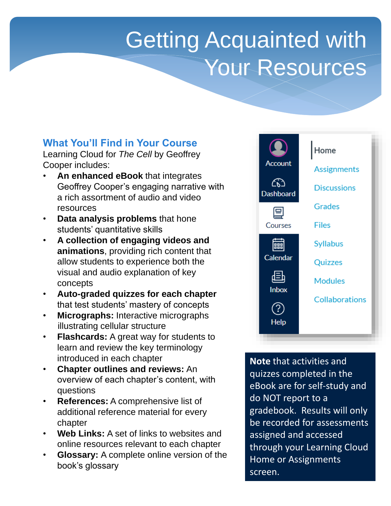# <span id="page-8-0"></span>Getting Acquainted with Your Resources

## **What You'll Find in Your Course**

Learning Cloud for *The Cell* by Geoffrey Cooper includes:

- **An enhanced eBook** that integrates Geoffrey Cooper's engaging narrative with a rich assortment of audio and video resources
- **Data analysis problems** that hone students' quantitative skills
- **A collection of engaging videos and animations**, providing rich content that allow students to experience both the visual and audio explanation of key concepts
- **Auto-graded quizzes for each chapter** that test students' mastery of concepts
- **Micrographs:** Interactive micrographs illustrating cellular structure
- **Flashcards:** A great way for students to learn and review the key terminology introduced in each chapter
- **Chapter outlines and reviews:** An overview of each chapter's content, with questions
- **References:** A comprehensive list of additional reference material for every chapter
- **Web Links:** A set of links to websites and online resources relevant to each chapter
- **Glossary:** A complete online version of the book's glossary



**Note** that activities and quizzes completed in the eBook are for self-study and do NOT report to a gradebook. Results will only be recorded for assessments assigned and accessed through your Learning Cloud Home or Assignments screen.